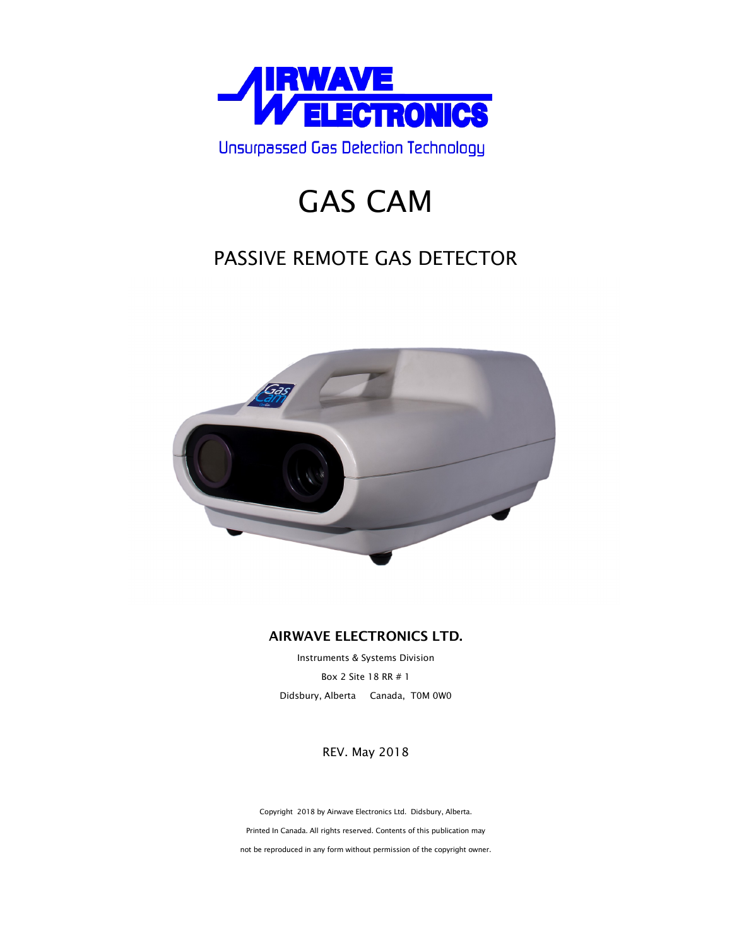

# GAS CAM

## PASSIVE REMOTE GAS DETECTOR



### **AIRWAVE ELECTRONICS LTD.**

Instruments & Systems Division Box 2 Site 18 RR # 1 Didsbury, Alberta Canada, T0M 0W0

REV. May 2018

Copyright 2018 by Airwave Electronics Ltd. Didsbury, Alberta. Printed In Canada. All rights reserved. Contents of this publication may not be reproduced in any form without permission of the copyright owner.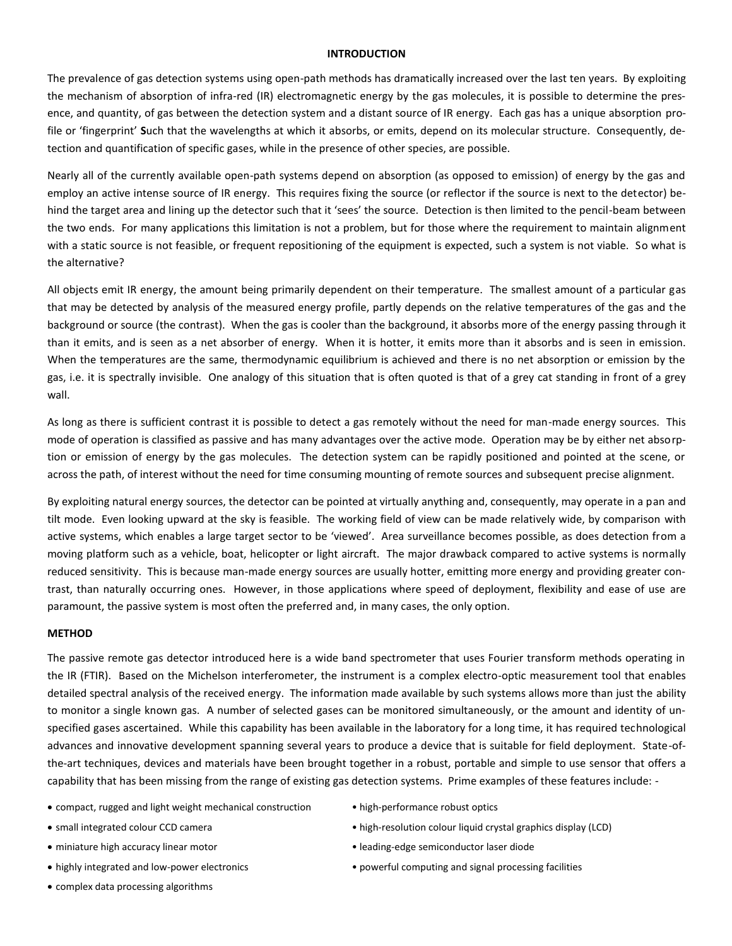#### **INTRODUCTION**

The prevalence of gas detection systems using open-path methods has dramatically increased over the last ten years. By exploiting the mechanism of absorption of infra-red (IR) electromagnetic energy by the gas molecules, it is possible to determine the presence, and quantity, of gas between the detection system and a distant source of IR energy. Each gas has a unique absorption profile or 'fingerprint' **S**uch that the wavelengths at which it absorbs, or emits, depend on its molecular structure. Consequently, detection and quantification of specific gases, while in the presence of other species, are possible.

Nearly all of the currently available open-path systems depend on absorption (as opposed to emission) of energy by the gas and employ an active intense source of IR energy. This requires fixing the source (or reflector if the source is next to the detector) behind the target area and lining up the detector such that it 'sees' the source. Detection is then limited to the pencil-beam between the two ends. For many applications this limitation is not a problem, but for those where the requirement to maintain alignment with a static source is not feasible, or frequent repositioning of the equipment is expected, such a system is not viable. So what is the alternative?

All objects emit IR energy, the amount being primarily dependent on their temperature. The smallest amount of a particular gas that may be detected by analysis of the measured energy profile, partly depends on the relative temperatures of the gas and the background or source (the contrast). When the gas is cooler than the background, it absorbs more of the energy passing through it than it emits, and is seen as a net absorber of energy. When it is hotter, it emits more than it absorbs and is seen in emission. When the temperatures are the same, thermodynamic equilibrium is achieved and there is no net absorption or emission by the gas, i.e. it is spectrally invisible. One analogy of this situation that is often quoted is that of a grey cat standing in front of a grey wall.

As long as there is sufficient contrast it is possible to detect a gas remotely without the need for man-made energy sources. This mode of operation is classified as passive and has many advantages over the active mode. Operation may be by either net absorption or emission of energy by the gas molecules. The detection system can be rapidly positioned and pointed at the scene, or across the path, of interest without the need for time consuming mounting of remote sources and subsequent precise alignment.

By exploiting natural energy sources, the detector can be pointed at virtually anything and, consequently, may operate in a pan and tilt mode. Even looking upward at the sky is feasible. The working field of view can be made relatively wide, by comparison with active systems, which enables a large target sector to be 'viewed'. Area surveillance becomes possible, as does detection from a moving platform such as a vehicle, boat, helicopter or light aircraft. The major drawback compared to active systems is normally reduced sensitivity. This is because man-made energy sources are usually hotter, emitting more energy and providing greater contrast, than naturally occurring ones. However, in those applications where speed of deployment, flexibility and ease of use are paramount, the passive system is most often the preferred and, in many cases, the only option.

#### **METHOD**

The passive remote gas detector introduced here is a wide band spectrometer that uses Fourier transform methods operating in the IR (FTIR). Based on the Michelson interferometer, the instrument is a complex electro-optic measurement tool that enables detailed spectral analysis of the received energy. The information made available by such systems allows more than just the ability to monitor a single known gas. A number of selected gases can be monitored simultaneously, or the amount and identity of unspecified gases ascertained. While this capability has been available in the laboratory for a long time, it has required technological advances and innovative development spanning several years to produce a device that is suitable for field deployment. State-ofthe-art techniques, devices and materials have been brought together in a robust, portable and simple to use sensor that offers a capability that has been missing from the range of existing gas detection systems. Prime examples of these features include: -

- compact, rugged and light weight mechanical construction high-performance robust optics
- 
- 
- 
- complex data processing algorithms
- 
- small integrated colour CCD camera  **example 1998** high-resolution colour liquid crystal graphics display (LCD)
- miniature high accuracy linear motor  **leading-edge semiconductor laser diode**
- highly integrated and low-power electronics powerful computing and signal processing facilities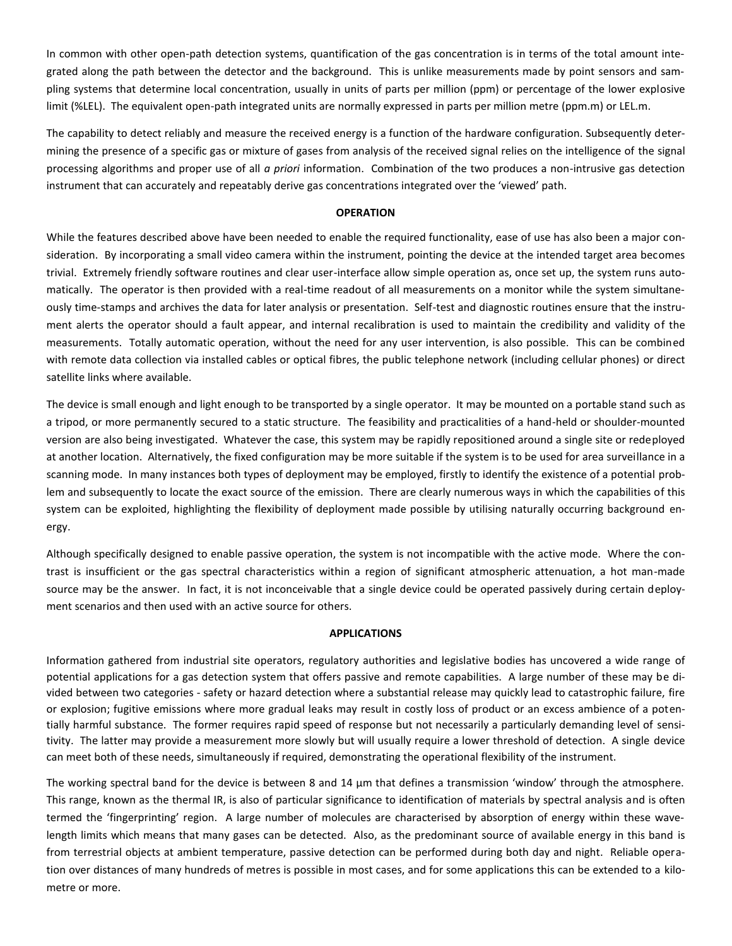In common with other open-path detection systems, quantification of the gas concentration is in terms of the total amount integrated along the path between the detector and the background. This is unlike measurements made by point sensors and sampling systems that determine local concentration, usually in units of parts per million (ppm) or percentage of the lower explosive limit (%LEL). The equivalent open-path integrated units are normally expressed in parts per million metre (ppm.m) or LEL.m.

The capability to detect reliably and measure the received energy is a function of the hardware configuration. Subsequently determining the presence of a specific gas or mixture of gases from analysis of the received signal relies on the intelligence of the signal processing algorithms and proper use of all *a priori* information. Combination of the two produces a non-intrusive gas detection instrument that can accurately and repeatably derive gas concentrations integrated over the 'viewed' path.

#### **OPERATION**

While the features described above have been needed to enable the required functionality, ease of use has also been a major consideration. By incorporating a small video camera within the instrument, pointing the device at the intended target area becomes trivial. Extremely friendly software routines and clear user-interface allow simple operation as, once set up, the system runs automatically. The operator is then provided with a real-time readout of all measurements on a monitor while the system simultaneously time-stamps and archives the data for later analysis or presentation. Self-test and diagnostic routines ensure that the instrument alerts the operator should a fault appear, and internal recalibration is used to maintain the credibility and validity of the measurements. Totally automatic operation, without the need for any user intervention, is also possible. This can be combined with remote data collection via installed cables or optical fibres, the public telephone network (including cellular phones) or direct satellite links where available.

The device is small enough and light enough to be transported by a single operator. It may be mounted on a portable stand such as a tripod, or more permanently secured to a static structure. The feasibility and practicalities of a hand-held or shoulder-mounted version are also being investigated. Whatever the case, this system may be rapidly repositioned around a single site or redeployed at another location. Alternatively, the fixed configuration may be more suitable if the system is to be used for area surveillance in a scanning mode. In many instances both types of deployment may be employed, firstly to identify the existence of a potential problem and subsequently to locate the exact source of the emission. There are clearly numerous ways in which the capabilities of this system can be exploited, highlighting the flexibility of deployment made possible by utilising naturally occurring background energy.

Although specifically designed to enable passive operation, the system is not incompatible with the active mode. Where the contrast is insufficient or the gas spectral characteristics within a region of significant atmospheric attenuation, a hot man-made source may be the answer. In fact, it is not inconceivable that a single device could be operated passively during certain deployment scenarios and then used with an active source for others.

#### **APPLICATIONS**

Information gathered from industrial site operators, regulatory authorities and legislative bodies has uncovered a wide range of potential applications for a gas detection system that offers passive and remote capabilities. A large number of these may be divided between two categories - safety or hazard detection where a substantial release may quickly lead to catastrophic failure, fire or explosion; fugitive emissions where more gradual leaks may result in costly loss of product or an excess ambience of a potentially harmful substance. The former requires rapid speed of response but not necessarily a particularly demanding level of sensitivity. The latter may provide a measurement more slowly but will usually require a lower threshold of detection. A single device can meet both of these needs, simultaneously if required, demonstrating the operational flexibility of the instrument.

The working spectral band for the device is between 8 and 14  $\mu$ m that defines a transmission 'window' through the atmosphere. This range, known as the thermal IR, is also of particular significance to identification of materials by spectral analysis and is often termed the 'fingerprinting' region. A large number of molecules are characterised by absorption of energy within these wavelength limits which means that many gases can be detected. Also, as the predominant source of available energy in this band is from terrestrial objects at ambient temperature, passive detection can be performed during both day and night. Reliable operation over distances of many hundreds of metres is possible in most cases, and for some applications this can be extended to a kilometre or more.